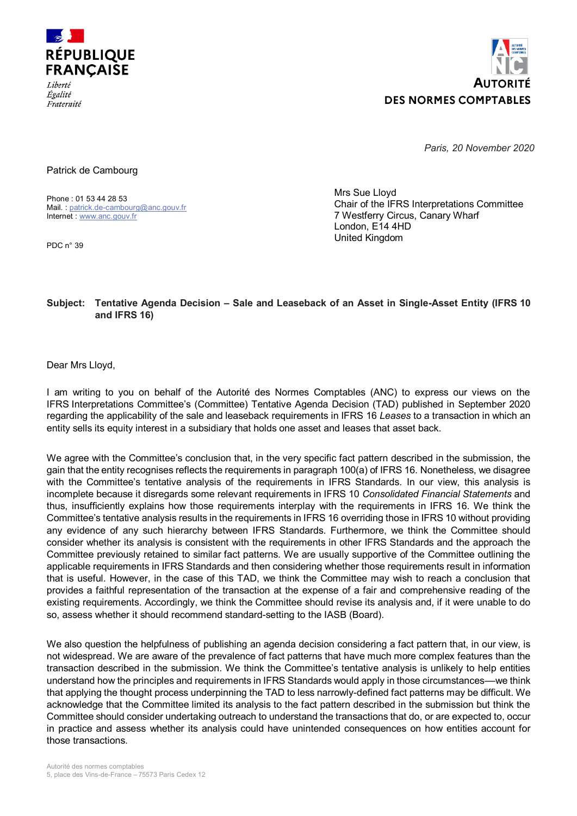



*Paris, 20 November 2020*

Patrick de Cambourg

Phone : 01 53 44 28 53 Mail. : [patrick.de-cambourg@anc.gouv.fr](mailto:patrick.de-cambourg@anc.gouv.fr) Internet : [www.anc.gouv.fr](http://www.anc.gouv.fr/)

PDC n° 39

Mrs Sue Lloyd Chair of the IFRS Interpretations Committee 7 Westferry Circus, Canary Wharf London, E14 4HD United Kingdom

#### **Subject: Tentative Agenda Decision – Sale and Leaseback of an Asset in Single-Asset Entity (IFRS 10 and IFRS 16)**

Dear Mrs Lloyd,

I am writing to you on behalf of the Autorité des Normes Comptables (ANC) to express our views on the IFRS Interpretations Committee's (Committee) Tentative Agenda Decision (TAD) published in September 2020 regarding the applicability of the sale and leaseback requirements in IFRS 16 *Leases* to a transaction in which an entity sells its equity interest in a subsidiary that holds one asset and leases that asset back.

We agree with the Committee's conclusion that, in the very specific fact pattern described in the submission, the gain that the entity recognises reflects the requirements in paragraph 100(a) of IFRS 16. Nonetheless, we disagree with the Committee's tentative analysis of the requirements in IFRS Standards. In our view, this analysis is incomplete because it disregards some relevant requirements in IFRS 10 *Consolidated Financial Statements* and thus, insufficiently explains how those requirements interplay with the requirements in IFRS 16. We think the Committee's tentative analysis results in the requirements in IFRS 16 overriding those in IFRS 10 without providing any evidence of any such hierarchy between IFRS Standards. Furthermore, we think the Committee should consider whether its analysis is consistent with the requirements in other IFRS Standards and the approach the Committee previously retained to similar fact patterns. We are usually supportive of the Committee outlining the applicable requirements in IFRS Standards and then considering whether those requirements result in information that is useful. However, in the case of this TAD, we think the Committee may wish to reach a conclusion that provides a faithful representation of the transaction at the expense of a fair and comprehensive reading of the existing requirements. Accordingly, we think the Committee should revise its analysis and, if it were unable to do so, assess whether it should recommend standard-setting to the IASB (Board).

We also question the helpfulness of publishing an agenda decision considering a fact pattern that, in our view, is not widespread. We are aware of the prevalence of fact patterns that have much more complex features than the transaction described in the submission. We think the Committee's tentative analysis is unlikely to help entities understand how the principles and requirements in IFRS Standards would apply in those circumstances––we think that applying the thought process underpinning the TAD to less narrowly-defined fact patterns may be difficult. We acknowledge that the Committee limited its analysis to the fact pattern described in the submission but think the Committee should consider undertaking outreach to understand the transactions that do, or are expected to, occur in practice and assess whether its analysis could have unintended consequences on how entities account for those transactions.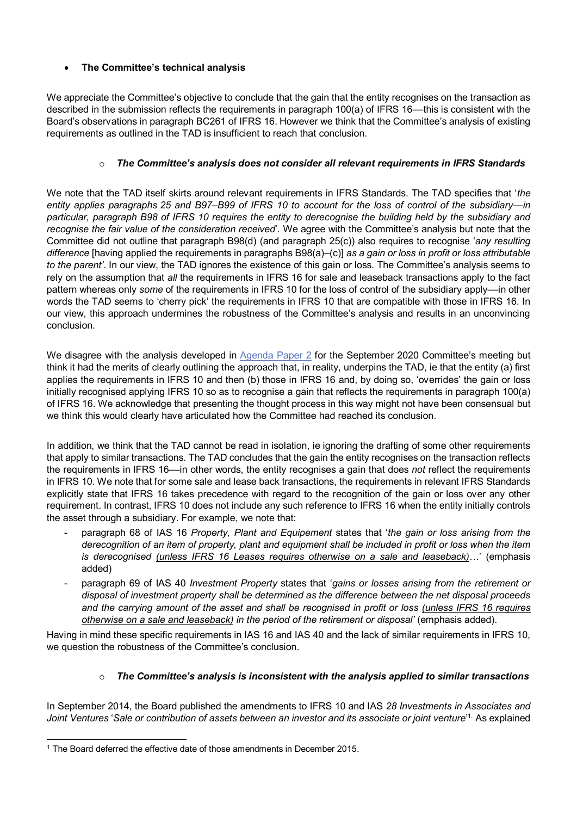## **The Committee's technical analysis**

We appreciate the Committee's objective to conclude that the gain that the entity recognises on the transaction as described in the submission reflects the requirements in paragraph 100(a) of IFRS 16—this is consistent with the Board's observations in paragraph BC261 of IFRS 16. However we think that the Committee's analysis of existing requirements as outlined in the TAD is insufficient to reach that conclusion.

### o *The Committee's analysis does not consider all relevant requirements in IFRS Standards*

We note that the TAD itself skirts around relevant requirements in IFRS Standards. The TAD specifies that '*the entity applies paragraphs 25 and B97–B99 of IFRS 10 to account for the loss of control of the subsidiary—in particular, paragraph B98 of IFRS 10 requires the entity to derecognise the building held by the subsidiary and recognise the fair value of the consideration received*'. We agree with the Committee's analysis but note that the Committee did not outline that paragraph B98(d) (and paragraph 25(c)) also requires to recognise '*any resulting difference* [having applied the requirements in paragraphs B98(a)–(c)] *as a gain or loss in profit or loss attributable to the parent'*. In our view, the TAD ignores the existence of this gain or loss. The Committee's analysis seems to rely on the assumption that *all* the requirements in IFRS 16 for sale and leaseback transactions apply to the fact pattern whereas only *some* of the requirements in IFRS 10 for the loss of control of the subsidiary apply––in other words the TAD seems to 'cherry pick' the requirements in IFRS 10 that are compatible with those in IFRS 16. In our view, this approach undermines the robustness of the Committee's analysis and results in an unconvincing conclusion.

We disagree with the analysis developed in [Agenda Paper 2](https://cdn.ifrs.org/-/media/feature/meetings/2020/september/ifric/ap2-sale-and-leaseback-in-a-corporate-wrapper-ifrs-16.pdf) for the September 2020 Committee's meeting but think it had the merits of clearly outlining the approach that, in reality, underpins the TAD, ie that the entity (a) first applies the requirements in IFRS 10 and then (b) those in IFRS 16 and, by doing so, 'overrides' the gain or loss initially recognised applying IFRS 10 so as to recognise a gain that reflects the requirements in paragraph 100(a) of IFRS 16. We acknowledge that presenting the thought process in this way might not have been consensual but we think this would clearly have articulated how the Committee had reached its conclusion.

In addition, we think that the TAD cannot be read in isolation, ie ignoring the drafting of some other requirements that apply to similar transactions. The TAD concludes that the gain the entity recognises on the transaction reflects the requirements in IFRS 16––in other words, the entity recognises a gain that does *not* reflect the requirements in IFRS 10. We note that for some sale and lease back transactions, the requirements in relevant IFRS Standards explicitly state that IFRS 16 takes precedence with regard to the recognition of the gain or loss over any other requirement. In contrast, IFRS 10 does not include any such reference to IFRS 16 when the entity initially controls the asset through a subsidiary. For example, we note that:

- paragraph 68 of IAS 16 *Property, Plant and Equipement* states that '*the gain or loss arising from the derecognition of an item of property, plant and equipment shall be included in profit or loss when the item is derecognised (unless IFRS 16 Leases requires otherwise on a sale and leaseback)*…' (emphasis added)
- paragraph 69 of IAS 40 *Investment Property* states that '*gains or losses arising from the retirement or disposal of investment property shall be determined as the difference between the net disposal proceeds and the carrying amount of the asset and shall be recognised in profit or loss (unless IFRS 16 requires otherwise on a sale and leaseback) in the period of the retirement or disposal'* (emphasis added).

Having in mind these specific requirements in IAS 16 and IAS 40 and the lack of similar requirements in IFRS 10, we question the robustness of the Committee's conclusion.

# o *The Committee's analysis is inconsistent with the analysis applied to similar transactions*

In September 2014, the Board published the amendments to IFRS 10 and IAS *28 Investments in Associates and Joint Ventures* '*Sale or contribution of assets between an investor and its associate or joint venture*' 1. As explained

 <sup>1</sup> The Board deferred the effective date of those amendments in December 2015.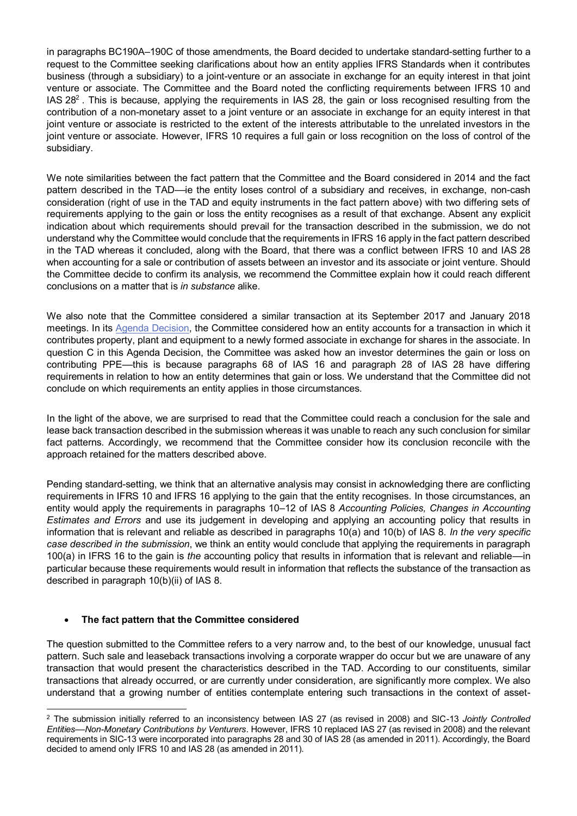in paragraphs BC190A–190C of those amendments, the Board decided to undertake standard-setting further to a request to the Committee seeking clarifications about how an entity applies IFRS Standards when it contributes business (through a subsidiary) to a joint-venture or an associate in exchange for an equity interest in that joint venture or associate. The Committee and the Board noted the conflicting requirements between IFRS 10 and IAS 28<sup>2</sup>. This is because, applying the requirements in IAS 28, the gain or loss recognised resulting from the contribution of a non-monetary asset to a joint venture or an associate in exchange for an equity interest in that joint venture or associate is restricted to the extent of the interests attributable to the unrelated investors in the joint venture or associate. However, IFRS 10 requires a full gain or loss recognition on the loss of control of the subsidiary.

We note similarities between the fact pattern that the Committee and the Board considered in 2014 and the fact pattern described in the TAD––ie the entity loses control of a subsidiary and receives, in exchange, non-cash consideration (right of use in the TAD and equity instruments in the fact pattern above) with two differing sets of requirements applying to the gain or loss the entity recognises as a result of that exchange. Absent any explicit indication about which requirements should prevail for the transaction described in the submission, we do not understand why the Committee would conclude that the requirements in IFRS 16 apply in the fact pattern described in the TAD whereas it concluded, along with the Board, that there was a conflict between IFRS 10 and IAS 28 when accounting for a sale or contribution of assets between an investor and its associate or joint venture. Should the Committee decide to confirm its analysis, we recommend the Committee explain how it could reach different conclusions on a matter that is *in substance* alike.

We also note that the Committee considered a similar transaction at its September 2017 and January 2018 meetings. In its [Agenda Decision,](https://cdn.ifrs.org/-/media/project/contributing-property-plant-and-equipment-to-an-associate/agenda-decision/ias-28-contributing-property-plant-and-equipment-to-an-associate-jan-18.pdf) the Committee considered how an entity accounts for a transaction in which it contributes property, plant and equipment to a newly formed associate in exchange for shares in the associate. In question C in this Agenda Decision, the Committee was asked how an investor determines the gain or loss on contributing PPE––this is because paragraphs 68 of IAS 16 and paragraph 28 of IAS 28 have differing requirements in relation to how an entity determines that gain or loss. We understand that the Committee did not conclude on which requirements an entity applies in those circumstances.

In the light of the above, we are surprised to read that the Committee could reach a conclusion for the sale and lease back transaction described in the submission whereas it was unable to reach any such conclusion for similar fact patterns. Accordingly, we recommend that the Committee consider how its conclusion reconcile with the approach retained for the matters described above.

Pending standard-setting, we think that an alternative analysis may consist in acknowledging there are conflicting requirements in IFRS 10 and IFRS 16 applying to the gain that the entity recognises. In those circumstances, an entity would apply the requirements in paragraphs 10–12 of IAS 8 *Accounting Policies, Changes in Accounting Estimates and Errors* and use its judgement in developing and applying an accounting policy that results in information that is relevant and reliable as described in paragraphs 10(a) and 10(b) of IAS 8. *In the very specific case described in the submission*, we think an entity would conclude that applying the requirements in paragraph 100(a) in IFRS 16 to the gain is *the* accounting policy that results in information that is relevant and reliable––in particular because these requirements would result in information that reflects the substance of the transaction as described in paragraph 10(b)(ii) of IAS 8.

### **The fact pattern that the Committee considered**

The question submitted to the Committee refers to a very narrow and, to the best of our knowledge, unusual fact pattern. Such sale and leaseback transactions involving a corporate wrapper do occur but we are unaware of any transaction that would present the characteristics described in the TAD. According to our constituents, similar transactions that already occurred, or are currently under consideration, are significantly more complex. We also understand that a growing number of entities contemplate entering such transactions in the context of asset-

 <sup>2</sup> The submission initially referred to an inconsistency between IAS 27 (as revised in 2008) and SIC-13 *Jointly Controlled Entities––Non-Monetary Contributions by Venturers*. However, IFRS 10 replaced IAS 27 (as revised in 2008) and the relevant requirements in SIC-13 were incorporated into paragraphs 28 and 30 of IAS 28 (as amended in 2011). Accordingly, the Board decided to amend only IFRS 10 and IAS 28 (as amended in 2011).